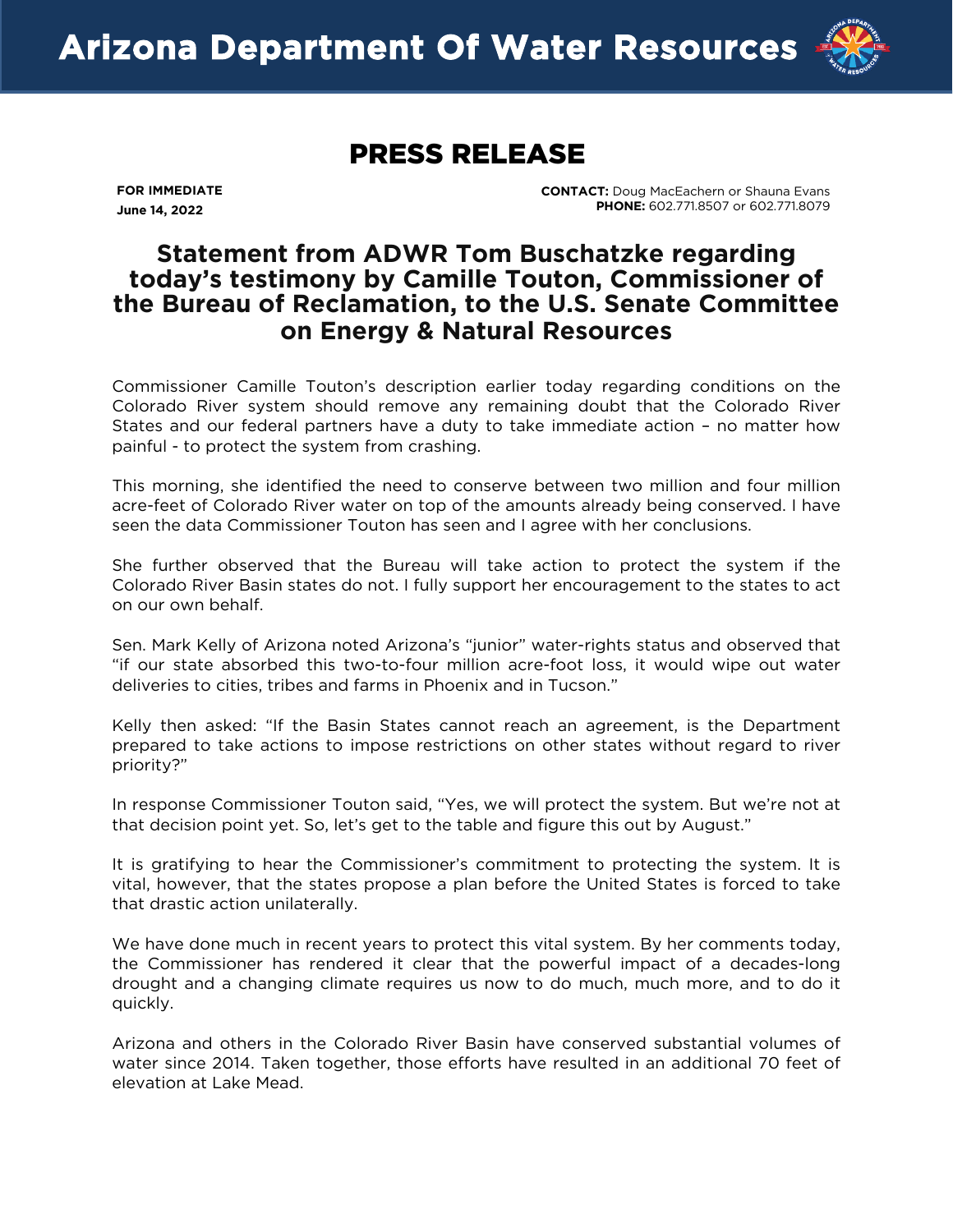

## PRESS RELEASE

**FOR IMMEDIATE June 14, 2022** 

 **CONTACT:** Doug MacEachern or Shauna Evans **PHONE:** 602.771.8507 or 602.771.8079

## **Statement from ADWR Tom Buschatzke regarding today's testimony by Camille Touton, Commissioner of the Bureau of Reclamation, to the U.S. Senate Committee on Energy & Natural Resources**

Commissioner Camille Touton's description earlier today regarding conditions on the Colorado River system should remove any remaining doubt that the Colorado River States and our federal partners have a duty to take immediate action – no matter how painful - to protect the system from crashing.

This morning, she identified the need to conserve between two million and four million acre-feet of Colorado River water on top of the amounts already being conserved. I have seen the data Commissioner Touton has seen and I agree with her conclusions.

She further observed that the Bureau will take action to protect the system if the Colorado River Basin states do not. I fully support her encouragement to the states to act on our own behalf.

Sen. Mark Kelly of Arizona noted Arizona's "junior" water-rights status and observed that "if our state absorbed this two-to-four million acre-foot loss, it would wipe out water deliveries to cities, tribes and farms in Phoenix and in Tucson."

Kelly then asked: "If the Basin States cannot reach an agreement, is the Department prepared to take actions to impose restrictions on other states without regard to river priority?"

In response Commissioner Touton said, "Yes, we will protect the system. But we're not at that decision point yet. So, let's get to the table and figure this out by August."

It is gratifying to hear the Commissioner's commitment to protecting the system. It is vital, however, that the states propose a plan before the United States is forced to take that drastic action unilaterally.

We have done much in recent years to protect this vital system. By her comments today, the Commissioner has rendered it clear that the powerful impact of a decades-long drought an[d a changing climate requires us](mailto:jmckenna@elmontgomery.com) now to do much, much more, and to do it quickly.

Arizona and others in the Colorado River Basin have conserved substantial volumes of water since 2014. Taken together, those efforts have resulted in an additional 70 feet of elevation at Lake Mead.